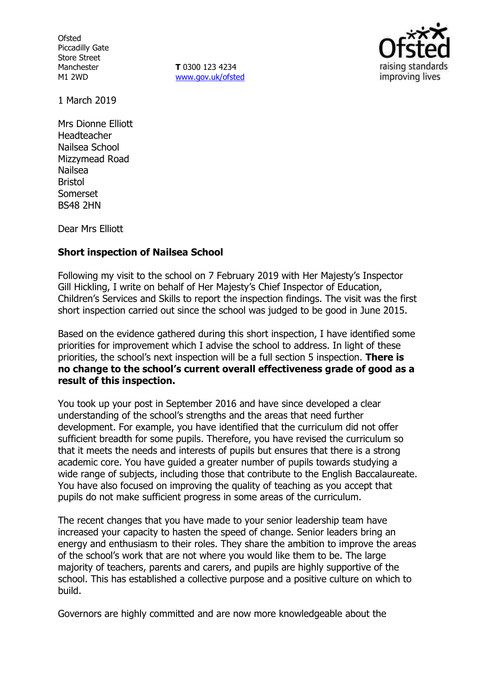**Ofsted** Piccadilly Gate Store Street Manchester M1 2WD

**T** 0300 123 4234 www.gov.uk/ofsted



1 March 2019

Mrs Dionne Elliott Headteacher Nailsea School Mizzymead Road Nailsea Bristol Somerset BS48 2HN

Dear Mrs Elliott

# **Short inspection of Nailsea School**

Following my visit to the school on 7 February 2019 with Her Majesty's Inspector Gill Hickling, I write on behalf of Her Majesty's Chief Inspector of Education, Children's Services and Skills to report the inspection findings. The visit was the first short inspection carried out since the school was judged to be good in June 2015.

Based on the evidence gathered during this short inspection, I have identified some priorities for improvement which I advise the school to address. In light of these priorities, the school's next inspection will be a full section 5 inspection. **There is no change to the school's current overall effectiveness grade of good as a result of this inspection.**

You took up your post in September 2016 and have since developed a clear understanding of the school's strengths and the areas that need further development. For example, you have identified that the curriculum did not offer sufficient breadth for some pupils. Therefore, you have revised the curriculum so that it meets the needs and interests of pupils but ensures that there is a strong academic core. You have guided a greater number of pupils towards studying a wide range of subjects, including those that contribute to the English Baccalaureate. You have also focused on improving the quality of teaching as you accept that pupils do not make sufficient progress in some areas of the curriculum.

The recent changes that you have made to your senior leadership team have increased your capacity to hasten the speed of change. Senior leaders bring an energy and enthusiasm to their roles. They share the ambition to improve the areas of the school's work that are not where you would like them to be. The large majority of teachers, parents and carers, and pupils are highly supportive of the school. This has established a collective purpose and a positive culture on which to build.

Governors are highly committed and are now more knowledgeable about the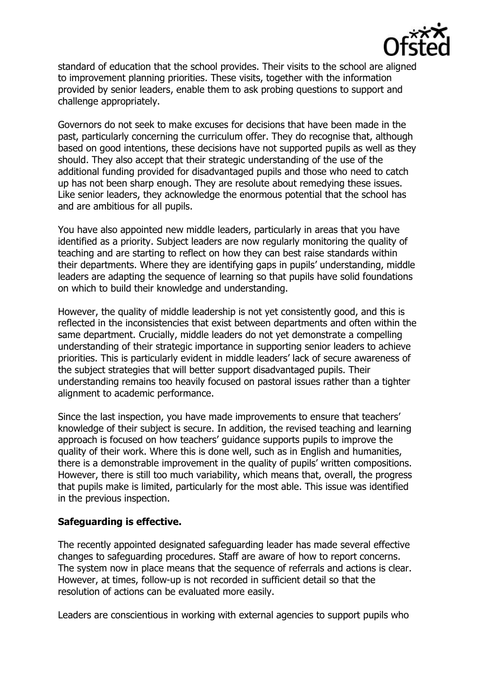

standard of education that the school provides. Their visits to the school are aligned to improvement planning priorities. These visits, together with the information provided by senior leaders, enable them to ask probing questions to support and challenge appropriately.

Governors do not seek to make excuses for decisions that have been made in the past, particularly concerning the curriculum offer. They do recognise that, although based on good intentions, these decisions have not supported pupils as well as they should. They also accept that their strategic understanding of the use of the additional funding provided for disadvantaged pupils and those who need to catch up has not been sharp enough. They are resolute about remedying these issues. Like senior leaders, they acknowledge the enormous potential that the school has and are ambitious for all pupils.

You have also appointed new middle leaders, particularly in areas that you have identified as a priority. Subject leaders are now regularly monitoring the quality of teaching and are starting to reflect on how they can best raise standards within their departments. Where they are identifying gaps in pupils' understanding, middle leaders are adapting the sequence of learning so that pupils have solid foundations on which to build their knowledge and understanding.

However, the quality of middle leadership is not yet consistently good, and this is reflected in the inconsistencies that exist between departments and often within the same department. Crucially, middle leaders do not yet demonstrate a compelling understanding of their strategic importance in supporting senior leaders to achieve priorities. This is particularly evident in middle leaders' lack of secure awareness of the subject strategies that will better support disadvantaged pupils. Their understanding remains too heavily focused on pastoral issues rather than a tighter alignment to academic performance.

Since the last inspection, you have made improvements to ensure that teachers' knowledge of their subject is secure. In addition, the revised teaching and learning approach is focused on how teachers' guidance supports pupils to improve the quality of their work. Where this is done well, such as in English and humanities, there is a demonstrable improvement in the quality of pupils' written compositions. However, there is still too much variability, which means that, overall, the progress that pupils make is limited, particularly for the most able. This issue was identified in the previous inspection.

# **Safeguarding is effective.**

The recently appointed designated safeguarding leader has made several effective changes to safeguarding procedures. Staff are aware of how to report concerns. The system now in place means that the sequence of referrals and actions is clear. However, at times, follow-up is not recorded in sufficient detail so that the resolution of actions can be evaluated more easily.

Leaders are conscientious in working with external agencies to support pupils who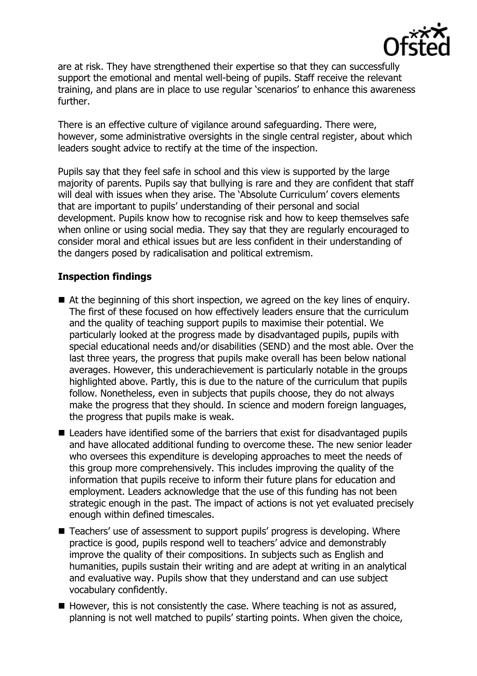

are at risk. They have strengthened their expertise so that they can successfully support the emotional and mental well-being of pupils. Staff receive the relevant training, and plans are in place to use regular 'scenarios' to enhance this awareness further.

There is an effective culture of vigilance around safeguarding. There were, however, some administrative oversights in the single central register, about which leaders sought advice to rectify at the time of the inspection.

Pupils say that they feel safe in school and this view is supported by the large majority of parents. Pupils say that bullying is rare and they are confident that staff will deal with issues when they arise. The 'Absolute Curriculum' covers elements that are important to pupils' understanding of their personal and social development. Pupils know how to recognise risk and how to keep themselves safe when online or using social media. They say that they are regularly encouraged to consider moral and ethical issues but are less confident in their understanding of the dangers posed by radicalisation and political extremism.

# **Inspection findings**

- At the beginning of this short inspection, we agreed on the key lines of enguiry. The first of these focused on how effectively leaders ensure that the curriculum and the quality of teaching support pupils to maximise their potential. We particularly looked at the progress made by disadvantaged pupils, pupils with special educational needs and/or disabilities (SEND) and the most able. Over the last three years, the progress that pupils make overall has been below national averages. However, this underachievement is particularly notable in the groups highlighted above. Partly, this is due to the nature of the curriculum that pupils follow. Nonetheless, even in subjects that pupils choose, they do not always make the progress that they should. In science and modern foreign languages, the progress that pupils make is weak.
- Leaders have identified some of the barriers that exist for disadvantaged pupils and have allocated additional funding to overcome these. The new senior leader who oversees this expenditure is developing approaches to meet the needs of this group more comprehensively. This includes improving the quality of the information that pupils receive to inform their future plans for education and employment. Leaders acknowledge that the use of this funding has not been strategic enough in the past. The impact of actions is not yet evaluated precisely enough within defined timescales.
- Teachers' use of assessment to support pupils' progress is developing. Where practice is good, pupils respond well to teachers' advice and demonstrably improve the quality of their compositions. In subjects such as English and humanities, pupils sustain their writing and are adept at writing in an analytical and evaluative way. Pupils show that they understand and can use subject vocabulary confidently.
- $\blacksquare$  However, this is not consistently the case. Where teaching is not as assured, planning is not well matched to pupils' starting points. When given the choice,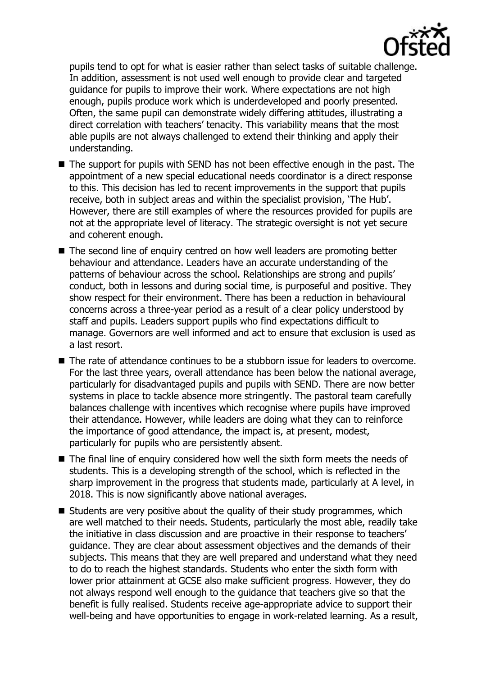

pupils tend to opt for what is easier rather than select tasks of suitable challenge. In addition, assessment is not used well enough to provide clear and targeted guidance for pupils to improve their work. Where expectations are not high enough, pupils produce work which is underdeveloped and poorly presented. Often, the same pupil can demonstrate widely differing attitudes, illustrating a direct correlation with teachers' tenacity. This variability means that the most able pupils are not always challenged to extend their thinking and apply their understanding.

- The support for pupils with SEND has not been effective enough in the past. The appointment of a new special educational needs coordinator is a direct response to this. This decision has led to recent improvements in the support that pupils receive, both in subject areas and within the specialist provision, 'The Hub'. However, there are still examples of where the resources provided for pupils are not at the appropriate level of literacy. The strategic oversight is not yet secure and coherent enough.
- The second line of enquiry centred on how well leaders are promoting better behaviour and attendance. Leaders have an accurate understanding of the patterns of behaviour across the school. Relationships are strong and pupils' conduct, both in lessons and during social time, is purposeful and positive. They show respect for their environment. There has been a reduction in behavioural concerns across a three-year period as a result of a clear policy understood by staff and pupils. Leaders support pupils who find expectations difficult to manage. Governors are well informed and act to ensure that exclusion is used as a last resort.
- The rate of attendance continues to be a stubborn issue for leaders to overcome. For the last three years, overall attendance has been below the national average, particularly for disadvantaged pupils and pupils with SEND. There are now better systems in place to tackle absence more stringently. The pastoral team carefully balances challenge with incentives which recognise where pupils have improved their attendance. However, while leaders are doing what they can to reinforce the importance of good attendance, the impact is, at present, modest, particularly for pupils who are persistently absent.
- The final line of enquiry considered how well the sixth form meets the needs of students. This is a developing strength of the school, which is reflected in the sharp improvement in the progress that students made, particularly at A level, in 2018. This is now significantly above national averages.
- $\blacksquare$  Students are very positive about the quality of their study programmes, which are well matched to their needs. Students, particularly the most able, readily take the initiative in class discussion and are proactive in their response to teachers' guidance. They are clear about assessment objectives and the demands of their subjects. This means that they are well prepared and understand what they need to do to reach the highest standards. Students who enter the sixth form with lower prior attainment at GCSE also make sufficient progress. However, they do not always respond well enough to the guidance that teachers give so that the benefit is fully realised. Students receive age-appropriate advice to support their well-being and have opportunities to engage in work-related learning. As a result,